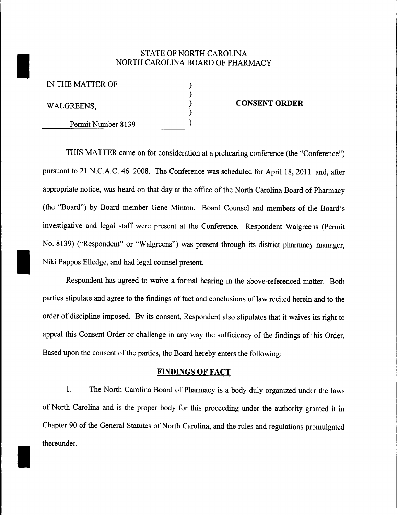# STATE OF NORTH CAROLINA NORTH CAROLINA BOARD OF PHARMACY

) ) ) ) )

IN THE MATTER OF

WALGREENS,

I

Permit Number 8139

#### **CONSENT ORDER**

THIS MATTER came on for consideration at a prehearing conference (the "Conference") pursuant to 21 N.C.A.C. 46 .2008. The Conference was scheduled for April 18, 2011, and, after appropriate notice, was heard on that day at the office of the North Carolina Board of Pharmacy (the "Board") by Board member Gene Minton. Board Counsel and members of the Board's investigative and legal staff were present at the Conference. Respondent Walgreens (Permit No. 8139) ("Respondent" or "Walgreens") was present through its district pharmacy manager, Niki Pappos Elledge, and had legal counsel present.

Respondent has agreed to waive a formal hearing in the above-referenced matter. Both parties stipulate and agree to the findings of fact and conclusions of law recited herein and to the order of discipline imposed. By its consent, Respondent also stipulates that it waives its right to appeal this Consent Order or challenge in any way the sufficiency of the findings of this Order. Based upon the consent of the parties, the Board hereby enters the following:

## **FINDINGS OF FACT**

1. The North Carolina Board of Pharmacy is a body duly organized under the laws of North Carolina and is the proper body for this proceeding under the authority granted it in Chapter 90 of the General Statutes of North Carolina, and the rules and regulations promulgated thereunder.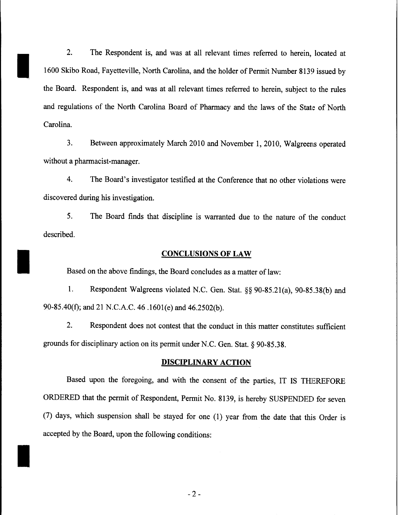2. The Respondent is, and was at all relevant times referred to herein, located at 1600 Skibo Road, Fayetteville, North Carolina, and the holder of Permit Number 8139 issued by the Board. Respondent is, and was at all relevant times referred to herein, subject to the rules and regulations of the North Carolina Board of Pharmacy and the laws of the State of North Carolina.

I

I

I

3. Between approximately March 2010 and November 1,2010, Walgreens operated without a pharmacist-manager.

4. The Board's investigator testified at the Conference that no other violations were discovered during his investigation.

5. The Board finds that discipline is warranted due to the nature of the conduct described.

### **CONCLUSIONS OF LAW**

Based on the above findings, the Board concludes as a matter of law:

1. Respondent Walgreens violated N.C. Gen. Stat. §§ 90-85.21(a), 90-85.38(b) and 90-85.40(1); and 21 N.C.A.C. 46 .1601(e) and 46.2502(b).

2. Respondent does not contest that the conduct in this matter constitutes sufficient grounds for disciplinary action on its permit under N.C. Gen. Stat. § 90-85.38.

### **DISCIPLINARY ACTION**

Based upon the foregoing, and with the consent of the parties, IT IS THEREFORE ORDERED that the permit of Respondent, Permit No. 8139, is hereby SUSPENDED for seven (7) days, which suspension shall be stayed for one (l) year from the date that this Order is accepted by the Board, upon the following conditions:

 $-2-$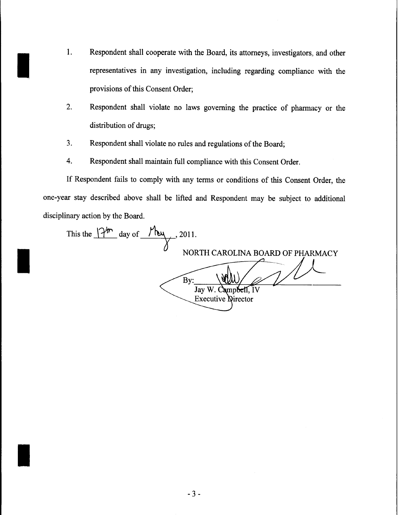- I. Respondent shall cooperate with the Board, its attorneys, investigators, and other<br>representatives in any investigation, including regarding compliance with the representatives in any investigation, including regarding compliance with the provisions of this Consent Order;
	- 2. Respondent shall violate no laws governing the practice of pharmacy or the distribution of drugs;
	- 3. Respondent shall violate no rules and regulations of the Board;

I

I

4. Respondent shall maintain full compliance with this Consent Order.

If Respondent fails to comply with any terms or conditions of this Consent Order, the one-year stay described above shall be lifted and Respondent may be subject to additional disciplinary action by the Board.

| This the $\int_{0}^{\frac{1}{2}} \frac{dx}{y}$ day of<br>/ Ry<br>, 2011. |
|--------------------------------------------------------------------------|
| NORTH CAROLINA BOARD OF PHARMACY                                         |
| By:                                                                      |
| Jay W. Campbell, IV<br><b>Executive Director</b>                         |
|                                                                          |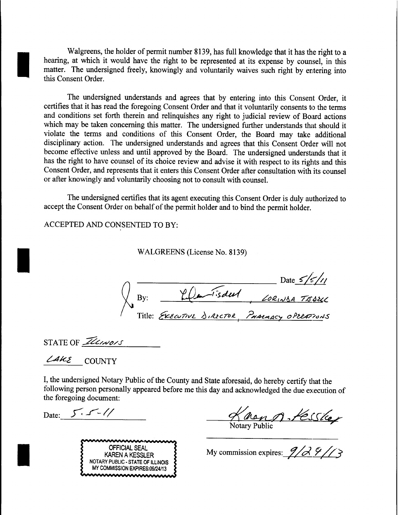Walgreens, the holder of permit number 8139, has full knowledge that it has the right to a hearing, at which it would have the right to be represented at its expense by counsel, in this matter. The undersigned freely, knowingly and voluntarily waives such right by entering into this Consent Order.

The undersigned understands and agrees that by entering into this Consent Order, it certifies that it has read the foregoing Consent Order and that it voluntarily consents to the terms and conditions set forth therein and relinquishes any right to judicial review of Board actions which may be taken concerning this matter. The undersigned further understands that should it violate the terms and conditions of this Consent Order, the Board may take additional disciplinary action. The undersigned understands and agrees that this Consent Order will not become effective unless and until approved by the Board. The undersigned understands that it has the right to have counsel of its choice review and advise it with respect to its rights and this Consent Order, and represents that it enters this Consent Order after consultation with its counsel or after knowingly and voluntarily choosing not to consult with counsel.

The undersigned certifies that its agent executing this Consent Order is duly authorized to accept the Consent Order on behalf of the permit holder and to bind the permit holder.

ACCEPTED AND CONSENTED TO BY:

WALGREENS (License No. 8139)

 $\frac{5}{5/1}$  $\sqrt{\overline{\mathbf{By}}$  $\bigwedge$  Title:

STATE OF *Illinois* 

 $\angle 4k \varepsilon$  COUNTY

I

I

I

I, the undersigned Notary Public of the County and State aforesaid, do hereby certify that the following person personally appeared before me this day and acknowledged the due execution of the foregoing document:

Date:  $5.5 - 1/$ 

Knong, Kesskep

OFFICIAL SEAL KAREN A KESSLER NOTARY PUBLIC -STATE OF ILLINOIS MY COMMISSION EXPIRES:09124/13 mmmmmmmm

My commission expires:  $\frac{9}{2}$  ,  $\frac{9}{1}$